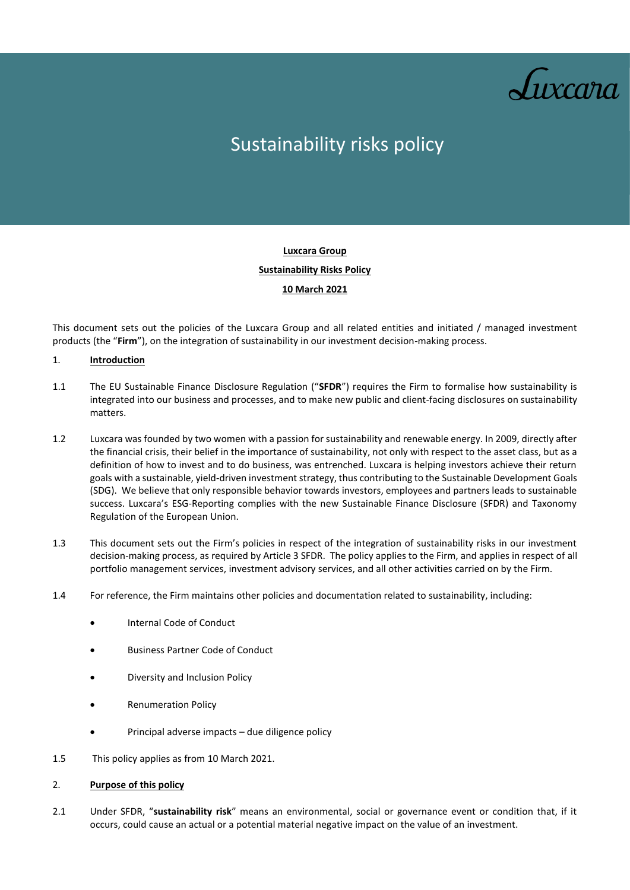

# Sustainability risks policy

# **Luxcara Group Sustainability Risks Policy 10 March 2021**

This document sets out the policies of the Luxcara Group and all related entities and initiated / managed investment products (the "**Firm**"), on the integration of sustainability in our investment decision-making process.

# 1. **Introduction**

- 1.1 The EU Sustainable Finance Disclosure Regulation ("**SFDR**") requires the Firm to formalise how sustainability is integrated into our business and processes, and to make new public and client-facing disclosures on sustainability matters.
- 1.2 Luxcara was founded by two women with a passion for sustainability and renewable energy. In 2009, directly after the financial crisis, their belief in the importance of sustainability, not only with respect to the asset class, but as a definition of how to invest and to do business, was entrenched. Luxcara is helping investors achieve their return goals with a sustainable, yield-driven investment strategy, thus contributing to the Sustainable Development Goals (SDG). We believe that only responsible behavior towards investors, employees and partners leads to sustainable success. Luxcara's ESG-Reporting complies with the new Sustainable Finance Disclosure (SFDR) and Taxonomy Regulation of the European Union.
- 1.3 This document sets out the Firm's policies in respect of the integration of sustainability risks in our investment decision-making process, as required by Article 3 SFDR. The policy applies to the Firm, and applies in respect of all portfolio management services, investment advisory services, and all other activities carried on by the Firm.
- 1.4 For reference, the Firm maintains other policies and documentation related to sustainability, including:
	- Internal Code of Conduct
	- Business Partner Code of Conduct
	- Diversity and Inclusion Policy
	- Renumeration Policy
	- Principal adverse impacts due diligence policy
- 1.5 This policy applies as from 10 March 2021.

#### 2. **Purpose of this policy**

2.1 Under SFDR, "**sustainability risk**" means an environmental, social or governance event or condition that, if it occurs, could cause an actual or a potential material negative impact on the value of an investment.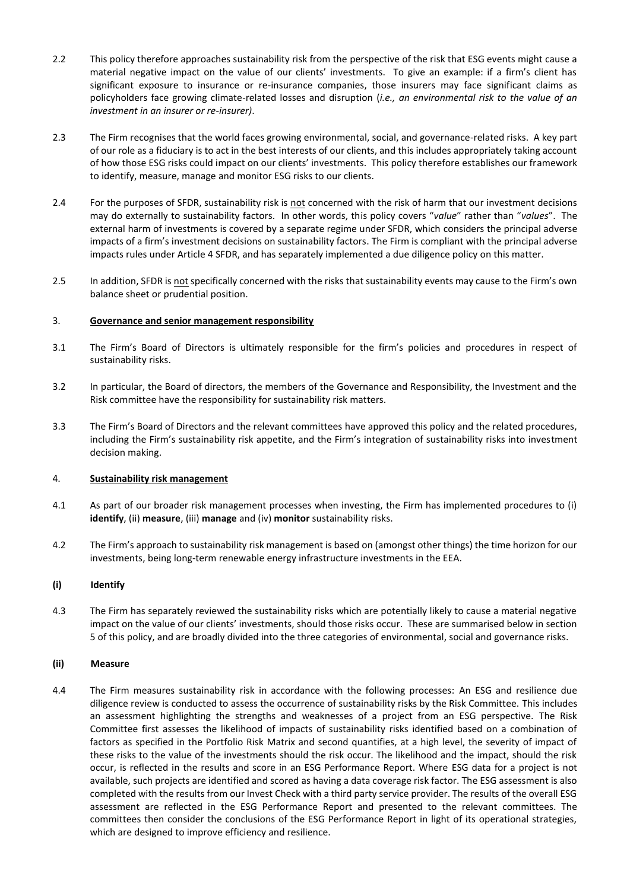- 2.2 This policy therefore approaches sustainability risk from the perspective of the risk that ESG events might cause a material negative impact on the value of our clients' investments. To give an example: if a firm's client has significant exposure to insurance or re-insurance companies, those insurers may face significant claims as policyholders face growing climate-related losses and disruption (*i.e., an environmental risk to the value of an investment in an insurer or re-insurer)*.
- 2.3 The Firm recognises that the world faces growing environmental, social, and governance-related risks. A key part of our role as a fiduciary is to act in the best interests of our clients, and this includes appropriately taking account of how those ESG risks could impact on our clients' investments. This policy therefore establishes our framework to identify, measure, manage and monitor ESG risks to our clients.
- 2.4 For the purposes of SFDR, sustainability risk is not concerned with the risk of harm that our investment decisions may do externally to sustainability factors. In other words, this policy covers "*value*" rather than "*values*". The external harm of investments is covered by a separate regime under SFDR, which considers the principal adverse impacts of a firm's investment decisions on sustainability factors. The Firm is compliant with the principal adverse impacts rules under Article 4 SFDR, and has separately implemented a due diligence policy on this matter.
- 2.5 In addition, SFDR is not specifically concerned with the risks that sustainability events may cause to the Firm's own balance sheet or prudential position.

# 3. **Governance and senior management responsibility**

- 3.1 The Firm's Board of Directors is ultimately responsible for the firm's policies and procedures in respect of sustainability risks.
- 3.2 In particular, the Board of directors, the members of the Governance and Responsibility, the Investment and the Risk committee have the responsibility for sustainability risk matters.
- 3.3 The Firm's Board of Directors and the relevant committees have approved this policy and the related procedures, including the Firm's sustainability risk appetite, and the Firm's integration of sustainability risks into investment decision making.

#### 4. **Sustainability risk management**

- 4.1 As part of our broader risk management processes when investing, the Firm has implemented procedures to (i) **identify**, (ii) **measure**, (iii) **manage** and (iv) **monitor** sustainability risks.
- 4.2 The Firm's approach to sustainability risk management is based on (amongst other things) the time horizon for our investments, being long-term renewable energy infrastructure investments in the EEA.

#### **(i) Identify**

4.3 The Firm has separately reviewed the sustainability risks which are potentially likely to cause a material negative impact on the value of our clients' investments, should those risks occur. These are summarised below in section 5 of this policy, and are broadly divided into the three categories of environmental, social and governance risks.

#### **(ii) Measure**

4.4 The Firm measures sustainability risk in accordance with the following processes: An ESG and resilience due diligence review is conducted to assess the occurrence of sustainability risks by the Risk Committee. This includes an assessment highlighting the strengths and weaknesses of a project from an ESG perspective. The Risk Committee first assesses the likelihood of impacts of sustainability risks identified based on a combination of factors as specified in the Portfolio Risk Matrix and second quantifies, at a high level, the severity of impact of these risks to the value of the investments should the risk occur. The likelihood and the impact, should the risk occur, is reflected in the results and score in an ESG Performance Report. Where ESG data for a project is not available, such projects are identified and scored as having a data coverage risk factor. The ESG assessment is also completed with the results from our Invest Check with a third party service provider. The results of the overall ESG assessment are reflected in the ESG Performance Report and presented to the relevant committees. The committees then consider the conclusions of the ESG Performance Report in light of its operational strategies, which are designed to improve efficiency and resilience.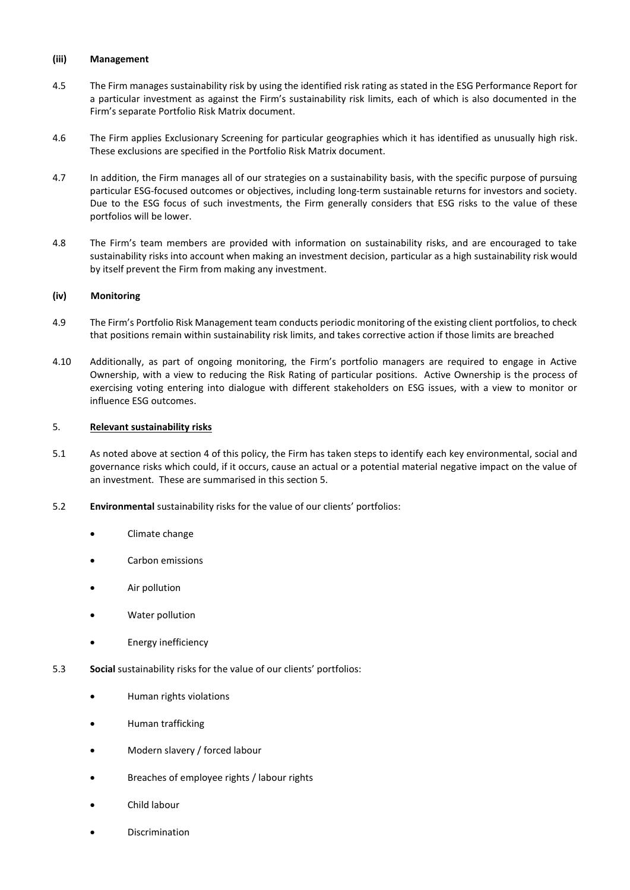#### **(iii) Management**

- 4.5 The Firm manages sustainability risk by using the identified risk rating as stated in the ESG Performance Report for a particular investment as against the Firm's sustainability risk limits, each of which is also documented in the Firm's separate Portfolio Risk Matrix document.
- 4.6 The Firm applies Exclusionary Screening for particular geographies which it has identified as unusually high risk. These exclusions are specified in the Portfolio Risk Matrix document.
- 4.7 In addition, the Firm manages all of our strategies on a sustainability basis, with the specific purpose of pursuing particular ESG-focused outcomes or objectives, including long-term sustainable returns for investors and society. Due to the ESG focus of such investments, the Firm generally considers that ESG risks to the value of these portfolios will be lower.
- 4.8 The Firm's team members are provided with information on sustainability risks, and are encouraged to take sustainability risks into account when making an investment decision, particular as a high sustainability risk would by itself prevent the Firm from making any investment.

# **(iv) Monitoring**

- 4.9 The Firm's Portfolio Risk Management team conducts periodic monitoring of the existing client portfolios, to check that positions remain within sustainability risk limits, and takes corrective action if those limits are breached
- 4.10 Additionally, as part of ongoing monitoring, the Firm's portfolio managers are required to engage in Active Ownership, with a view to reducing the Risk Rating of particular positions. Active Ownership is the process of exercising voting entering into dialogue with different stakeholders on ESG issues, with a view to monitor or influence ESG outcomes.

### 5. **Relevant sustainability risks**

- 5.1 As noted above at section 4 of this policy, the Firm has taken steps to identify each key environmental, social and governance risks which could, if it occurs, cause an actual or a potential material negative impact on the value of an investment. These are summarised in this section 5.
- 5.2 **Environmental** sustainability risks for the value of our clients' portfolios:
	- Climate change
	- Carbon emissions
	- Air pollution
	- Water pollution
	- Energy inefficiency
- 5.3 **Social** sustainability risks for the value of our clients' portfolios:
	- Human rights violations
	- Human trafficking
	- Modern slavery / forced labour
	- Breaches of employee rights / labour rights
	- Child labour
	- **Discrimination**